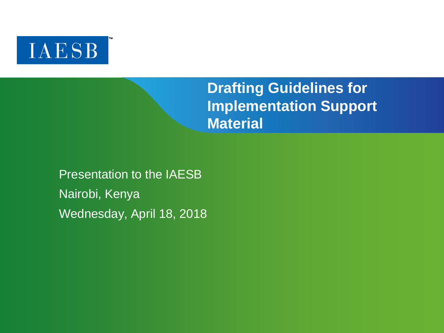

# **Drafting Guidelines for Implementation Support Material**

Presentation to the IAESB Nairobi, Kenya Wednesday, April 18, 2018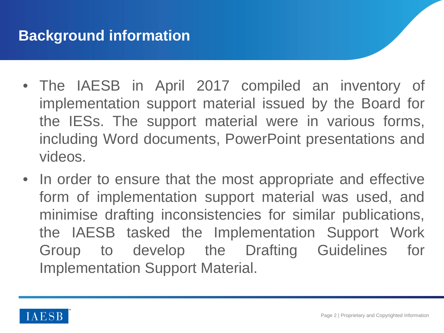- The IAESB in April 2017 compiled an inventory of implementation support material issued by the Board for the IESs. The support material were in various forms, including Word documents, PowerPoint presentations and videos.
- In order to ensure that the most appropriate and effective form of implementation support material was used, and minimise drafting inconsistencies for similar publications, the IAESB tasked the Implementation Support Work Group to develop the Drafting Guidelines for Implementation Support Material.

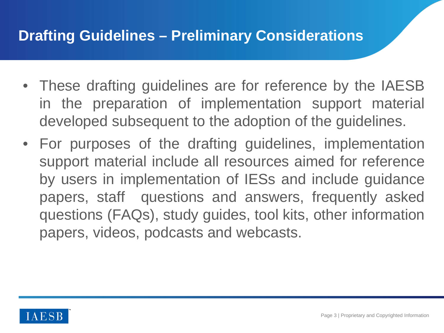## **Drafting Guidelines – Preliminary Considerations**

- These drafting guidelines are for reference by the IAESB in the preparation of implementation support material developed subsequent to the adoption of the guidelines.
- For purposes of the drafting guidelines, implementation support material include all resources aimed for reference by users in implementation of IESs and include guidance papers, staff questions and answers, frequently asked questions (FAQs), study guides, tool kits, other information papers, videos, podcasts and webcasts.

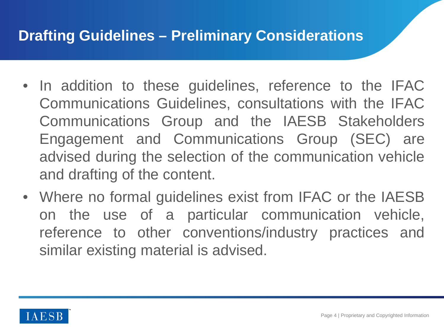## **Drafting Guidelines – Preliminary Considerations**

- In addition to these guidelines, reference to the IFAC Communications Guidelines, consultations with the IFAC Communications Group and the IAESB Stakeholders Engagement and Communications Group (SEC) are advised during the selection of the communication vehicle and drafting of the content.
- Where no formal guidelines exist from IFAC or the IAESB on the use of a particular communication vehicle, reference to other conventions/industry practices and similar existing material is advised.

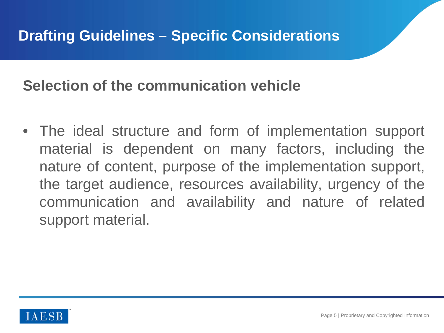## **Selection of the communication vehicle**

• The ideal structure and form of implementation support material is dependent on many factors, including the nature of content, purpose of the implementation support, the target audience, resources availability, urgency of the communication and availability and nature of related support material.

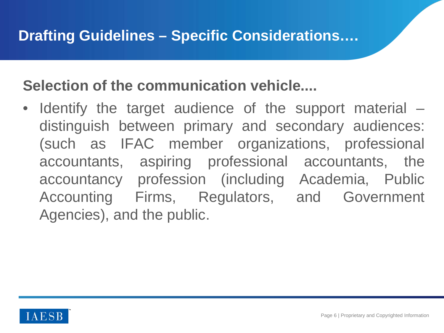# **Selection of the communication vehicle....**

• Identify the target audience of the support material – distinguish between primary and secondary audiences: (such as IFAC member organizations, professional accountants, aspiring professional accountants, the accountancy profession (including Academia, Public Accounting Firms, Regulators, and Government Agencies), and the public.

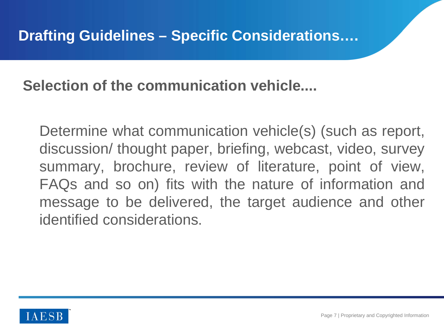**Selection of the communication vehicle....**

Determine what communication vehicle(s) (such as report, discussion/ thought paper, briefing, webcast, video, survey summary, brochure, review of literature, point of view, FAQs and so on) fits with the nature of information and message to be delivered, the target audience and other identified considerations.

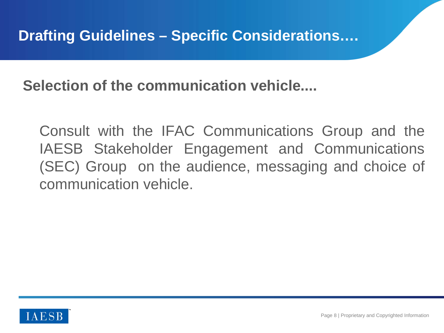**Selection of the communication vehicle....**

Consult with the IFAC Communications Group and the IAESB Stakeholder Engagement and Communications (SEC) Group on the audience, messaging and choice of communication vehicle.

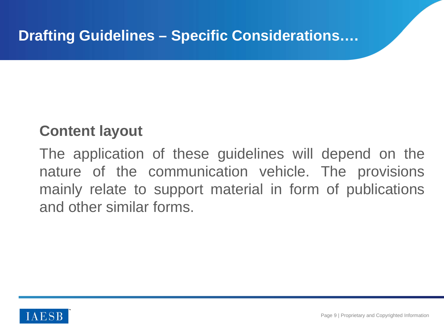# **Content layout**

The application of these guidelines will depend on the nature of the communication vehicle. The provisions mainly relate to support material in form of publications and other similar forms.

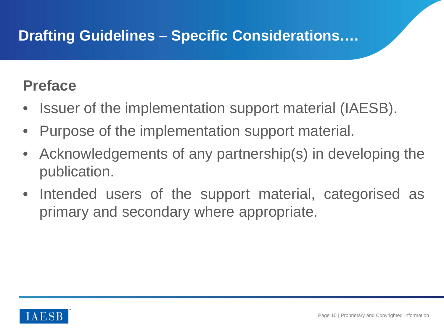#### **Preface**

- Issuer of the implementation support material (IAESB).
- Purpose of the implementation support material.
- Acknowledgements of any partnership(s) in developing the publication.
- Intended users of the support material, categorised as primary and secondary where appropriate.

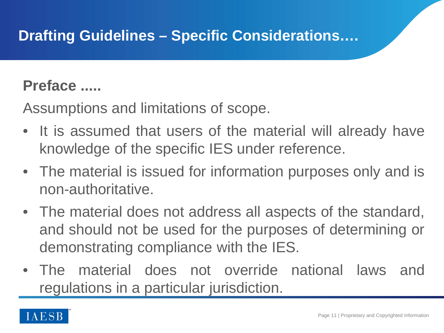#### **Preface .....**

Assumptions and limitations of scope.

- It is assumed that users of the material will already have knowledge of the specific IES under reference.
- The material is issued for information purposes only and is non-authoritative.
- The material does not address all aspects of the standard, and should not be used for the purposes of determining or demonstrating compliance with the IES.
- The material does not override national laws and regulations in a particular jurisdiction.

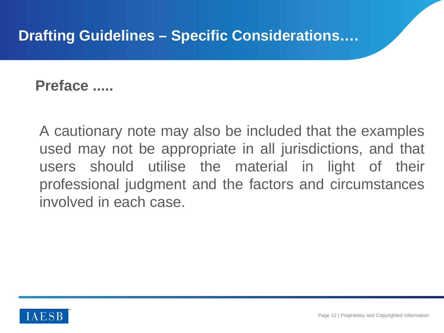**Preface .....**

A cautionary note may also be included that the examples used may not be appropriate in all jurisdictions, and that users should utilise the material in light of their professional judgment and the factors and circumstances involved in each case.

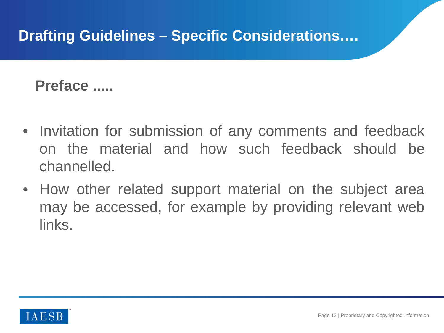**Preface .....**

- Invitation for submission of any comments and feedback on the material and how such feedback should be channelled.
- How other related support material on the subject area may be accessed, for example by providing relevant web links.

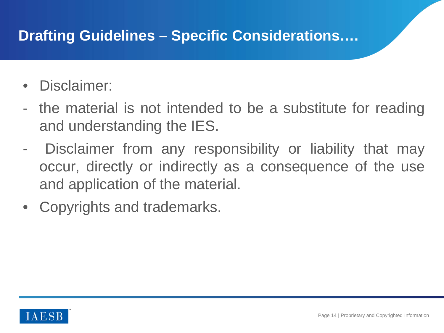- Disclaimer:
- the material is not intended to be a substitute for reading and understanding the IES.
- Disclaimer from any responsibility or liability that may occur, directly or indirectly as a consequence of the use and application of the material.
- Copyrights and trademarks.

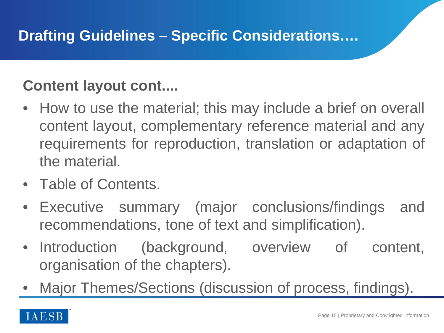# **Content layout cont....**

- How to use the material; this may include a brief on overall content layout, complementary reference material and any requirements for reproduction, translation or adaptation of the material.
- Table of Contents.
- Executive summary (major conclusions/findings and recommendations, tone of text and simplification).
- Introduction (background, overview of content, organisation of the chapters).
- Major Themes/Sections (discussion of process, findings).

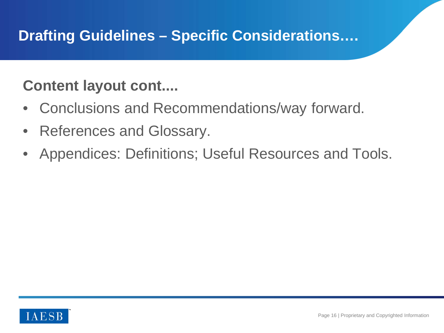# **Content layout cont....**

- Conclusions and Recommendations/way forward.
- References and Glossary.
- Appendices: Definitions; Useful Resources and Tools.

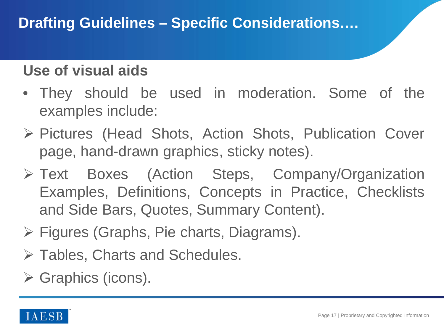## **Use of visual aids**

- They should be used in moderation. Some of the examples include:
- ▶ Pictures (Head Shots, Action Shots, Publication Cover page, hand-drawn graphics, sticky notes).
- Text Boxes (Action Steps, Company/Organization Examples, Definitions, Concepts in Practice, Checklists and Side Bars, Quotes, Summary Content).
- $\triangleright$  Figures (Graphs, Pie charts, Diagrams).
- **≻ Tables, Charts and Schedules.**
- $\triangleright$  Graphics (icons).

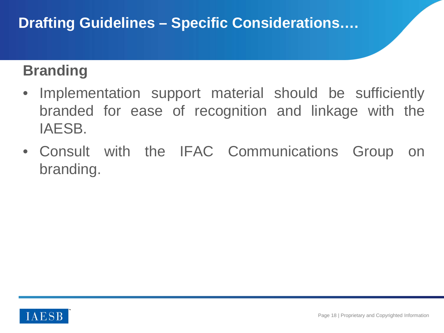# **Branding**

- Implementation support material should be sufficiently branded for ease of recognition and linkage with the IAESB.
- Consult with the IFAC Communications Group on branding.

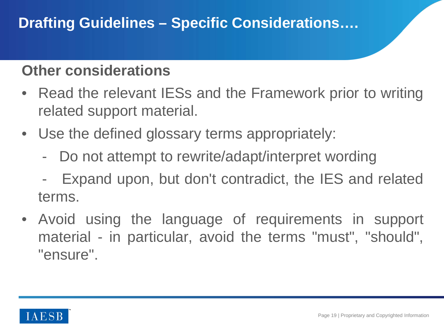## **Other considerations**

- Read the relevant IESs and the Framework prior to writing related support material.
- Use the defined glossary terms appropriately:
	- Do not attempt to rewrite/adapt/interpret wording
	- Expand upon, but don't contradict, the IES and related terms.
- Avoid using the language of requirements in support material - in particular, avoid the terms "must", "should", "ensure".

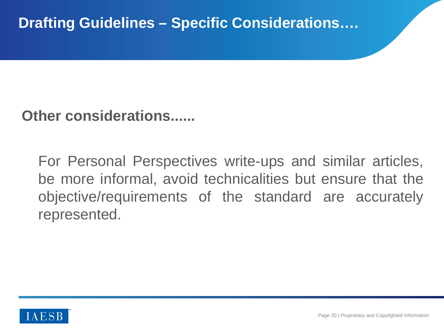**Other considerations......**

For Personal Perspectives write-ups and similar articles, be more informal, avoid technicalities but ensure that the objective/requirements of the standard are accurately represented.

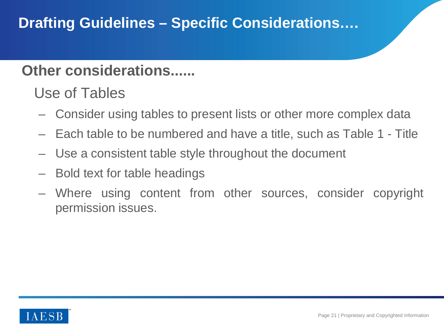### **Other considerations......**

Use of Tables

- Consider using tables to present lists or other more complex data
- Each table to be numbered and have a title, such as Table 1 Title
- Use a consistent table style throughout the document
- Bold text for table headings
- Where using content from other sources, consider copyright permission issues.

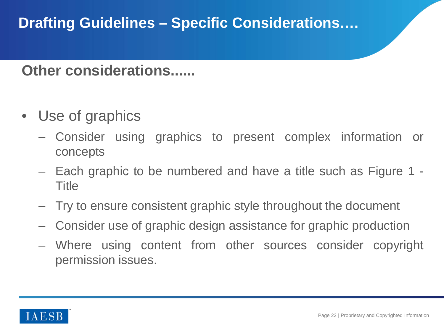#### **Other considerations......**

- Use of graphics
	- Consider using graphics to present complex information or concepts
	- Each graphic to be numbered and have a title such as Figure 1 Title
	- Try to ensure consistent graphic style throughout the document
	- Consider use of graphic design assistance for graphic production
	- Where using content from other sources consider copyright permission issues.

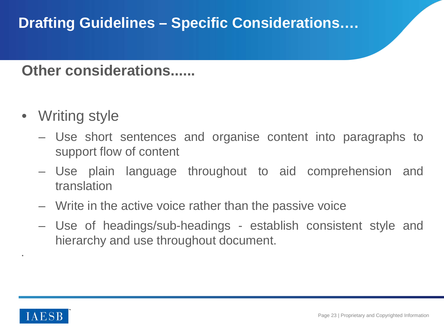#### **Other considerations......**

- Writing style
	- Use short sentences and organise content into paragraphs to support flow of content
	- Use plain language throughout to aid comprehension and translation
	- Write in the active voice rather than the passive voice
	- Use of headings/sub-headings establish consistent style and hierarchy and use throughout document.



•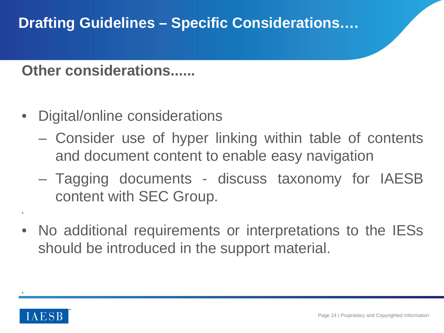**Other considerations......**

- Digital/online considerations
	- Consider use of hyper linking within table of contents and document content to enable easy navigation
	- Tagging documents discuss taxonomy for IAESB content with SEC Group.
- No additional requirements or interpretations to the IESs should be introduced in the support material.



•

•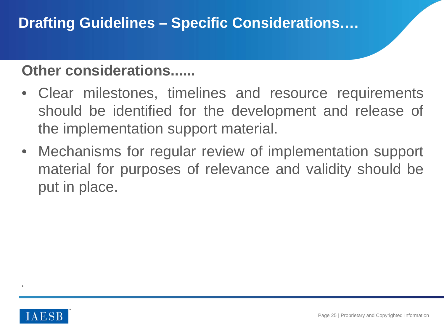## **Other considerations......**

- Clear milestones, timelines and resource requirements should be identified for the development and release of the implementation support material.
- Mechanisms for regular review of implementation support material for purposes of relevance and validity should be put in place.



•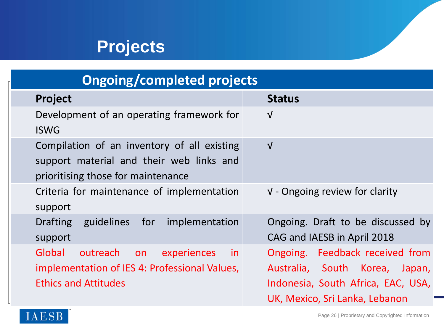# **Projects**

# **Ongoing/completed projects**

| <b>Project</b>                                                                                                                 | <b>Status</b>                                                                                                                                |
|--------------------------------------------------------------------------------------------------------------------------------|----------------------------------------------------------------------------------------------------------------------------------------------|
| Development of an operating framework for<br><b>ISWG</b>                                                                       | $\sqrt{ }$                                                                                                                                   |
| Compilation of an inventory of all existing<br>support material and their web links and<br>prioritising those for maintenance  | $\sqrt{ }$                                                                                                                                   |
| Criteria for maintenance of implementation<br>support                                                                          | $V$ - Ongoing review for clarity                                                                                                             |
| <b>Drafting</b><br>guidelines for<br>implementation<br>support                                                                 | Ongoing. Draft to be discussed by<br>CAG and IAESB in April 2018                                                                             |
| Global<br>outreach<br>experiences<br>in.<br>on<br>implementation of IES 4: Professional Values,<br><b>Ethics and Attitudes</b> | Ongoing. Feedback received from<br>Australia, South Korea,<br>Japan,<br>Indonesia, South Africa, EAC, USA,<br>UK, Mexico, Sri Lanka, Lebanon |